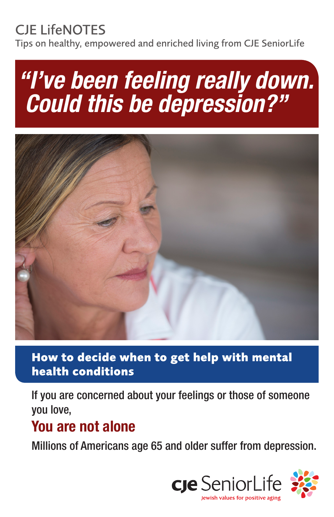## CJE LifeNOTES

Tips on healthy, empowered and enriched living from CJE SeniorLife

# *"I've been feeling really down. Could this be depression?"*



#### **How to decide when to get help with mental health conditions**

If you are concerned about your feelings or those of someone you love,

## You are not alone

Millions of Americans age 65 and older suffer from depression.

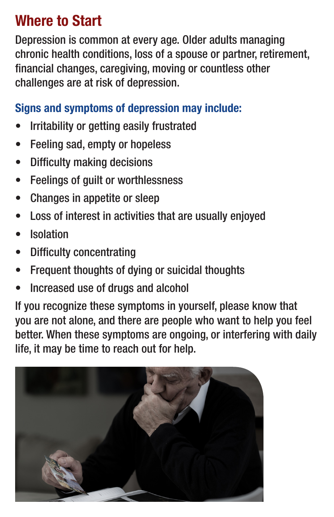## Where to Start

Depression is common at every age. Older adults managing chronic health conditions, loss of a spouse or partner, retirement, financial changes, caregiving, moving or countless other challenges are at risk of depression.

#### Signs and symptoms of depression may include:

- Irritability or getting easily frustrated
- Feeling sad, empty or hopeless
- Difficulty making decisions
- Feelings of guilt or worthlessness
- Changes in appetite or sleep
- Loss of interest in activities that are usually enjoyed
- **Isolation**
- Difficulty concentrating
- Frequent thoughts of dying or suicidal thoughts
- Increased use of drugs and alcohol

If you recognize these symptoms in yourself, please know that you are not alone, and there are people who want to help you feel better. When these symptoms are ongoing, or interfering with daily life, it may be time to reach out for help.

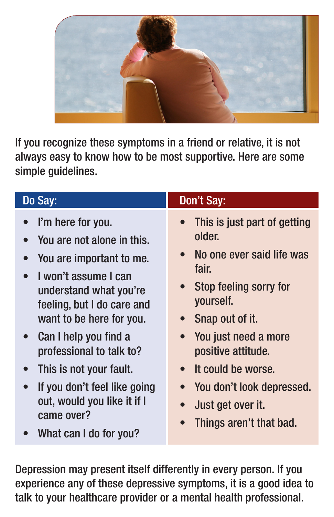

If you recognize these symptoms in a friend or relative, it is not always easy to know how to be most supportive. Here are some simple guidelines.

| Do Say:                                                                                                                                                                                                                                                                                                   | Don't Say:                                                                                                                                                                                                                                                                                  |
|-----------------------------------------------------------------------------------------------------------------------------------------------------------------------------------------------------------------------------------------------------------------------------------------------------------|---------------------------------------------------------------------------------------------------------------------------------------------------------------------------------------------------------------------------------------------------------------------------------------------|
| I'm here for you.<br>You are not alone in this.<br>You are important to me.<br>I won't assume I can<br>understand what you're<br>feeling, but I do care and<br>want to be here for you.<br>• Can I help you find a<br>professional to talk to?<br>This is not your fault.<br>If you don't feel like going | This is just part of getting<br>older.<br>No one ever said life was<br>$\bullet$<br>fair.<br>Stop feeling sorry for<br>$\bullet$<br>yourself.<br>Snap out of it.<br>You just need a more<br>$\bullet$<br>positive attitude.<br>It could be worse.<br>$\bullet$<br>You don't look depressed. |
| out, would you like it if I<br>came over?<br>What can I do for you?                                                                                                                                                                                                                                       | Just get over it.<br>$\bullet$<br>Things aren't that bad.                                                                                                                                                                                                                                   |
| $\mathbf{r}$ is the contract of $\mathbf{r}$                                                                                                                                                                                                                                                              |                                                                                                                                                                                                                                                                                             |

Depression may present itself differently in every person. If you experience any of these depressive symptoms, it is a good idea to talk to your healthcare provider or a mental health professional.